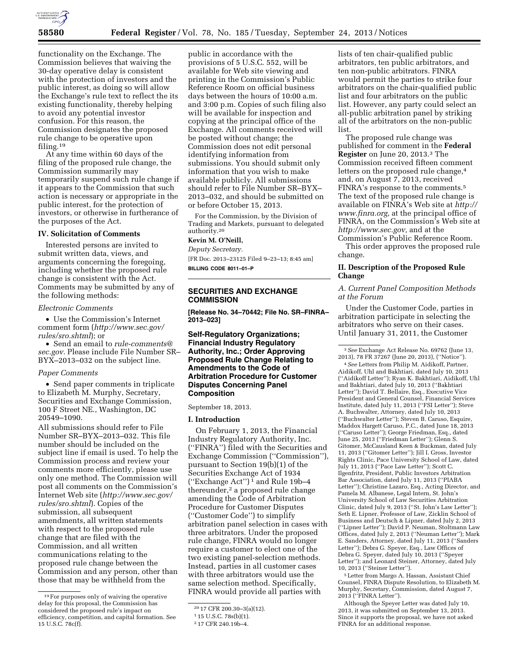

functionality on the Exchange. The Commission believes that waiving the 30-day operative delay is consistent with the protection of investors and the public interest, as doing so will allow the Exchange's rule text to reflect the its existing functionality, thereby helping to avoid any potential investor confusion. For this reason, the Commission designates the proposed rule change to be operative upon filing.19

At any time within 60 days of the filing of the proposed rule change, the Commission summarily may temporarily suspend such rule change if it appears to the Commission that such action is necessary or appropriate in the public interest, for the protection of investors, or otherwise in furtherance of the purposes of the Act.

#### **IV. Solicitation of Comments**

Interested persons are invited to submit written data, views, and arguments concerning the foregoing, including whether the proposed rule change is consistent with the Act. Comments may be submitted by any of the following methods:

### *Electronic Comments*

• Use the Commission's Internet comment form (*[http://www.sec.gov/](http://www.sec.gov/rules/sro.shtml) [rules/sro.shtml](http://www.sec.gov/rules/sro.shtml)*); or

• Send an email to *[rule-comments@](mailto:rule-comments@sec.gov) [sec.gov.](mailto:rule-comments@sec.gov)* Please include File Number SR– BYX–2013–032 on the subject line.

### *Paper Comments*

• Send paper comments in triplicate to Elizabeth M. Murphy, Secretary, Securities and Exchange Commission, 100 F Street NE., Washington, DC 20549–1090.

All submissions should refer to File Number SR–BYX–2013–032. This file number should be included on the subject line if email is used. To help the Commission process and review your comments more efficiently, please use only one method. The Commission will post all comments on the Commission's Internet Web site (*[http://www.sec.gov/](http://www.sec.gov/rules/sro.shtml) [rules/sro.shtml](http://www.sec.gov/rules/sro.shtml)*). Copies of the submission, all subsequent amendments, all written statements with respect to the proposed rule change that are filed with the Commission, and all written communications relating to the proposed rule change between the Commission and any person, other than those that may be withheld from the

public in accordance with the provisions of 5 U.S.C. 552, will be available for Web site viewing and printing in the Commission's Public Reference Room on official business days between the hours of 10:00 a.m. and 3:00 p.m. Copies of such filing also will be available for inspection and copying at the principal office of the Exchange. All comments received will be posted without change; the Commission does not edit personal identifying information from submissions. You should submit only information that you wish to make available publicly. All submissions should refer to File Number SR–BYX– 2013–032, and should be submitted on or before October 15, 2013.

For the Commission, by the Division of Trading and Markets, pursuant to delegated authority.20

# **Kevin M. O'Neill,**

*Deputy Secretary.* 

[FR Doc. 2013–23125 Filed 9–23–13; 8:45 am] **BILLING CODE 8011–01–P** 

## **SECURITIES AND EXCHANGE COMMISSION**

**[Release No. 34–70442; File No. SR–FINRA– 2013–023]** 

## **Self-Regulatory Organizations; Financial Industry Regulatory Authority, Inc.; Order Approving Proposed Rule Change Relating to Amendments to the Code of Arbitration Procedure for Customer Disputes Concerning Panel Composition**

September 18, 2013.

#### **I. Introduction**

On February 1, 2013, the Financial Industry Regulatory Authority, Inc. (''FINRA'') filed with the Securities and Exchange Commission (''Commission''), pursuant to Section 19(b)(1) of the Securities Exchange Act of 1934 (''Exchange Act'') 1 and Rule 19b–4 thereunder, $2$  a proposed rule change amending the Code of Arbitration Procedure for Customer Disputes (''Customer Code'') to simplify arbitration panel selection in cases with three arbitrators. Under the proposed rule change, FINRA would no longer require a customer to elect one of the two existing panel-selection methods. Instead, parties in all customer cases with three arbitrators would use the same selection method. Specifically, FINRA would provide all parties with

lists of ten chair-qualified public arbitrators, ten public arbitrators, and ten non-public arbitrators. FINRA would permit the parties to strike four arbitrators on the chair-qualified public list and four arbitrators on the public list. However, any party could select an all-public arbitration panel by striking all of the arbitrators on the non-public list.

The proposed rule change was published for comment in the **Federal Register** on June 20, 2013.3 The Commission received fifteen comment letters on the proposed rule change,<sup>4</sup> and, on August 7, 2013, received FINRA's response to the comments.5 The text of the proposed rule change is available on FINRA's Web site at *[http://](http://www.finra.org) [www.finra.org,](http://www.finra.org)* at the principal office of FINRA, on the Commission's Web site at *[http://www.sec.gov,](http://www.sec.gov)* and at the

Commission's Public Reference Room. This order approves the proposed rule change.

### **II. Description of the Proposed Rule Change**

### *A. Current Panel Composition Methods at the Forum*

Under the Customer Code, parties in arbitration participate in selecting the arbitrators who serve on their cases. Until January 31, 2011, the Customer

3*See* Exchange Act Release No. 69762 (June 13, 2013), 78 FR 37267 (June 20, 2013), (''Notice'').

4*See* Letters from Philip M. Aidikoff, Partner, Aidikoff, Uhl and Bakhtiari, dated July 10, 2013 (''Aidikoff Letter''); Ryan K. Bakhtiari, Aidikoff, Uhl and Bakhtiari, dated July 10, 2013 (''Bakhtiari Letter''); David T. Bellaire, Esq., Executive Vice President and General Counsel, Financial Services Institute, dated July 11, 2013 (''FSI Letter''); Steve A. Buchwalter, Attorney, dated July 10, 2013 (''Buchwalter Letter''); Steven B. Caruso, Esquire, Maddox Hargett Caruso, P.C., dated June 18, 2013 (''Caruso Letter''); George Friedman, Esq., dated June 25, 2013 (''Friedman Letter''); Glenn S. Gitomer, McCausland Keen & Buckman, dated July 11, 2013 (''Gitomer Letter''); Jill I. Gross, Investor Rights Clinic, Pace University School of Law, dated July 11, 2013 (''Pace Law Letter''); Scott C. Ilgenfritz, President, Public Investors Arbitration Bar Association, dated July 11, 2013 (''PIABA Letter''); Christine Lazaro, Esq., Acting Director, and Pamela M. Albanese, Legal Intern, St. John's University School of Law Securities Arbitration Clinic, dated July 9, 2013 (''St. John's Law Letter''); Seth E. Lipner, Professor of Law, Zicklin School of Business and Deutsch & Lipner, dated July 2, 2013 (''Lipner Letter''); David P. Neuman, Stoltmann Law Offices, dated July 2, 2013 (''Neuman Letter''); Mark E. Sanders, Attorney, dated July 11, 2013 (''Sanders Letter''); Debra G. Speyer, Esq., Law Offices of Debra G. Speyer, dated July 10, 2013 (''Speyer Letter''); and Leonard Steiner, Attorney, dated July 10, 2013 (''Steiner Letter'').

5Letter from Margo A. Hassan, Assistant Chief Counsel, FINRA Dispute Resolution, to Elizabeth M. Murphy, Secretary, Commission, dated August 7, 2013 (''FINRA Letter'').

Although the Speyer Letter was dated July 10, 2013, it was submitted on September 13, 2013. Since it supports the proposal, we have not asked FINRA for an additional response.

<sup>19</sup>For purposes only of waiving the operative delay for this proposal, the Commission has considered the proposed rule's impact on efficiency, competition, and capital formation. See 15 U.S.C. 78c(f).

<sup>20</sup> 17 CFR 200.30–3(a)(12).

<sup>1</sup> 15 U.S.C. 78s(b)(1).

<sup>2</sup> 17 CFR 240.19b–4.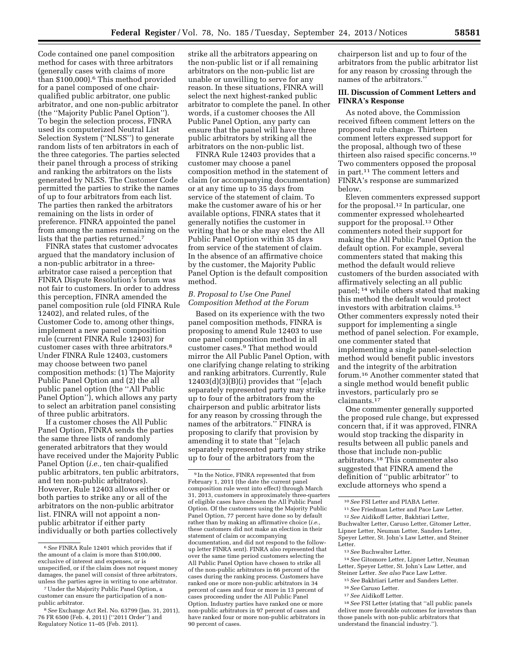Code contained one panel composition method for cases with three arbitrators (generally cases with claims of more than \$100,000).6 This method provided for a panel composed of one chairqualified public arbitrator, one public arbitrator, and one non-public arbitrator (the ''Majority Public Panel Option''). To begin the selection process, FINRA used its computerized Neutral List Selection System (''NLSS'') to generate random lists of ten arbitrators in each of the three categories. The parties selected their panel through a process of striking and ranking the arbitrators on the lists generated by NLSS. The Customer Code permitted the parties to strike the names of up to four arbitrators from each list. The parties then ranked the arbitrators remaining on the lists in order of preference. FINRA appointed the panel from among the names remaining on the lists that the parties returned.7

FINRA states that customer advocates argued that the mandatory inclusion of a non-public arbitrator in a threearbitrator case raised a perception that FINRA Dispute Resolution's forum was not fair to customers. In order to address this perception, FINRA amended the panel composition rule (old FINRA Rule 12402), and related rules, of the Customer Code to, among other things, implement a new panel composition rule (current FINRA Rule 12403) for customer cases with three arbitrators.8 Under FINRA Rule 12403, customers may choose between two panel composition methods: (1) The Majority Public Panel Option and (2) the all public panel option (the ''All Public Panel Option''), which allows any party to select an arbitration panel consisting of three public arbitrators.

If a customer choses the All Public Panel Option, FINRA sends the parties the same three lists of randomly generated arbitrators that they would have received under the Majority Public Panel Option (*i.e.,* ten chair-qualified public arbitrators, ten public arbitrators, and ten non-public arbitrators). However, Rule 12403 allows either or both parties to strike any or all of the arbitrators on the non-public arbitrator list. FINRA will not appoint a nonpublic arbitrator if either party individually or both parties collectively

strike all the arbitrators appearing on the non-public list or if all remaining arbitrators on the non-public list are unable or unwilling to serve for any reason. In these situations, FINRA will select the next highest-ranked public arbitrator to complete the panel. In other words, if a customer chooses the All Public Panel Option, any party can ensure that the panel will have three public arbitrators by striking all the arbitrators on the non-public list.

FINRA Rule 12403 provides that a customer may choose a panel composition method in the statement of claim (or accompanying documentation) or at any time up to 35 days from service of the statement of claim. To make the customer aware of his or her available options, FINRA states that it generally notifies the customer in writing that he or she may elect the All Public Panel Option within 35 days from service of the statement of claim. In the absence of an affirmative choice by the customer, the Majority Public Panel Option is the default composition method.

## *B. Proposal to Use One Panel Composition Method at the Forum*

Based on its experience with the two panel composition methods, FINRA is proposing to amend Rule 12403 to use one panel composition method in all customer cases.9 That method would mirror the All Public Panel Option, with one clarifying change relating to striking and ranking arbitrators. Currently, Rule  $12403(d)(3)(B)(i)$  provides that "[e]ach separately represented party may strike up to four of the arbitrators from the chairperson and public arbitrator lists for any reason by crossing through the names of the arbitrators.'' FINRA is proposing to clarify that provision by amending it to state that ''[e]ach separately represented party may strike up to four of the arbitrators from the

chairperson list and up to four of the arbitrators from the public arbitrator list for any reason by crossing through the names of the arbitrators.''

## **III. Discussion of Comment Letters and FINRA's Response**

As noted above, the Commission received fifteen comment letters on the proposed rule change. Thirteen comment letters expressed support for the proposal, although two of these thirteen also raised specific concerns.10 Two commenters opposed the proposal in part.11 The comment letters and FINRA's response are summarized below.

Eleven commenters expressed support for the proposal.12 In particular, one commenter expressed wholehearted support for the proposal.<sup>13</sup> Other commenters noted their support for making the All Public Panel Option the default option. For example, several commenters stated that making this method the default would relieve customers of the burden associated with affirmatively selecting an all public panel; 14 while others stated that making this method the default would protect investors with arbitration claims.15 Other commenters expressly noted their support for implementing a single method of panel selection. For example, one commenter stated that implementing a single panel-selection method would benefit public investors and the integrity of the arbitration forum.16 Another commenter stated that a single method would benefit public investors, particularly pro se claimants.17

One commenter generally supported the proposed rule change, but expressed concern that, if it was approved, FINRA would stop tracking the disparity in results between all public panels and those that include non-public arbitrators.18 This commenter also suggested that FINRA amend the definition of ''public arbitrator'' to exclude attorneys who spend a

- 16*See* Caruso Letter. 17*See* Aidikoff Letter.
- 

<sup>6</sup>*See* FINRA Rule 12401 which provides that if the amount of a claim is more than \$100,000, exclusive of interest and expenses, or is unspecified, or if the claim does not request money damages, the panel will consist of three arbitrators, unless the parties agree in writing to one arbitrator.

<sup>7</sup>Under the Majority Public Panel Option, a customer can ensure the participation of a nonpublic arbitrator.

<sup>8</sup>*See* Exchange Act Rel. No. 63799 (Jan. 31, 2011), 76 FR 6500 (Feb. 4, 2011) (''2011 Order'') and Regulatory Notice 11–05 (Feb. 2011).

<sup>9</sup> In the Notice, FINRA represented that from February 1, 2011 (the date the current panel composition rule went into effect) through March 31, 2013, customers in approximately three-quarters of eligible cases have chosen the All Public Panel Option. Of the customers using the Majority Public Panel Option, 77 percent have done so by default rather than by making an affirmative choice (*i.e.,*  these customers did not make an election in their statement of claim or accompanying documentation, and did not respond to the followup letter FINRA sent). FINRA also represented that over the same time period customers selecting the All Public Panel Option have chosen to strike all of the non-public arbitrators in 66 percent of the cases during the ranking process. Customers have ranked one or more non-public arbitrators in 34 percent of cases and four or more in 13 percent of cases proceeding under the All Public Panel Option. Industry parties have ranked one or more non-public arbitrators in 97 percent of cases and have ranked four or more non-public arbitrators in 90 percent of cases.

<sup>10</sup>*See* FSI Letter and PIABA Letter.

<sup>11</sup>*See* Friedman Letter and Pace Law Letter. 12*See* Aidikoff Letter, Bakhtiari Letter, Buchwalter Letter, Caruso Letter, Gitomer Letter, Lipner Letter, Neuman Letter, Sanders Letter, Speyer Letter, St. John's Law Letter, and Steiner Letter.

<sup>13</sup>*See* Buchwalter Letter.

<sup>14</sup>*See* Gitomore Letter, Lipner Letter, Neuman Letter, Speyer Letter, St. John's Law Letter, and Steiner Letter. *See also* Pace Law Letter.

<sup>15</sup>*See* Bakhtiari Letter and Sanders Letter.

<sup>18</sup>*See* FSI Letter (stating that ''all public panels deliver more favorable outcomes for investors than those panels with non-public arbitrators that understand the financial industry.'').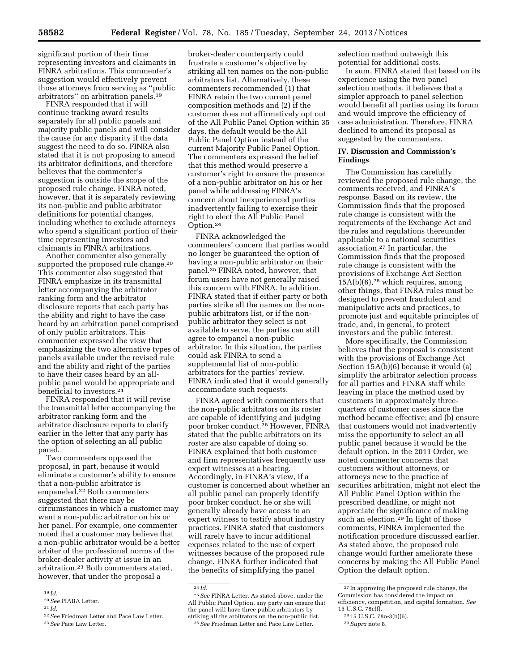significant portion of their time representing investors and claimants in FINRA arbitrations. This commenter's suggestion would effectively prevent those attorneys from serving as ''public arbitrators'' on arbitration panels.19

FINRA responded that it will continue tracking award results separately for all public panels and majority public panels and will consider the cause for any disparity if the data suggest the need to do so. FINRA also stated that it is not proposing to amend its arbitrator definitions, and therefore believes that the commenter's suggestion is outside the scope of the proposed rule change. FINRA noted, however, that it is separately reviewing its non-public and public arbitrator definitions for potential changes, including whether to exclude attorneys who spend a significant portion of their time representing investors and claimants in FINRA arbitrations.

Another commenter also generally supported the proposed rule change.<sup>20</sup> This commenter also suggested that FINRA emphasize in its transmittal letter accompanying the arbitrator ranking form and the arbitrator disclosure reports that each party has the ability and right to have the case heard by an arbitration panel comprised of only public arbitrators. This commenter expressed the view that emphasizing the two alternative types of panels available under the revised rule and the ability and right of the parties to have their cases heard by an allpublic panel would be appropriate and beneficial to investors.<sup>21</sup>

FINRA responded that it will revise the transmittal letter accompanying the arbitrator ranking form and the arbitrator disclosure reports to clarify earlier in the letter that any party has the option of selecting an all public panel.

Two commenters opposed the proposal, in part, because it would eliminate a customer's ability to ensure that a non-public arbitrator is empaneled.22 Both commenters suggested that there may be circumstances in which a customer may want a non-public arbitrator on his or her panel. For example, one commenter noted that a customer may believe that a non-public arbitrator would be a better arbiter of the professional norms of the broker-dealer activity at issue in an arbitration.23 Both commenters stated, however, that under the proposal a

broker-dealer counterparty could frustrate a customer's objective by striking all ten names on the non-public arbitrators list. Alternatively, these commenters recommended (1) that FINRA retain the two current panel composition methods and (2) if the customer does not affirmatively opt out of the All Public Panel Option within 35 days, the default would be the All Public Panel Option instead of the current Majority Public Panel Option. The commenters expressed the belief that this method would preserve a customer's right to ensure the presence of a non-public arbitrator on his or her panel while addressing FINRA's concern about inexperienced parties inadvertently failing to exercise their right to elect the All Public Panel Option.24

FINRA acknowledged the commenters' concern that parties would no longer be guaranteed the option of having a non-public arbitrator on their panel.25 FINRA noted, however, that forum users have not generally raised this concern with FINRA. In addition, FINRA stated that if either party or both parties strike all the names on the nonpublic arbitrators list, or if the nonpublic arbitrator they select is not available to serve, the parties can still agree to empanel a non-public arbitrator. In this situation, the parties could ask FINRA to send a supplemental list of non-public arbitrators for the parties' review. FINRA indicated that it would generally accommodate such requests.

FINRA agreed with commenters that the non-public arbitrators on its roster are capable of identifying and judging poor broker conduct.26 However, FINRA stated that the public arbitrators on its roster are also capable of doing so. FINRA explained that both customer and firm representatives frequently use expert witnesses at a hearing. Accordingly, in FINRA's view, if a customer is concerned about whether an all public panel can properly identify poor broker conduct, he or she will generally already have access to an expert witness to testify about industry practices. FINRA stated that customers will rarely have to incur additional expenses related to the use of expert witnesses because of the proposed rule change. FINRA further indicated that the benefits of simplifying the panel

24 *Id.* 

selection method outweigh this potential for additional costs.

In sum, FINRA stated that based on its experience using the two panel selection methods, it believes that a simpler approach to panel selection would benefit all parties using its forum and would improve the efficiency of case administration. Therefore, FINRA declined to amend its proposal as suggested by the commenters.

### **IV. Discussion and Commission's Findings**

The Commission has carefully reviewed the proposed rule change, the comments received, and FINRA's response. Based on its review, the Commission finds that the proposed rule change is consistent with the requirements of the Exchange Act and the rules and regulations thereunder applicable to a national securities association.27 In particular, the Commission finds that the proposed rule change is consistent with the provisions of Exchange Act Section  $15A(b)(6)$ ,<sup>28</sup> which requires, among other things, that FINRA rules must be designed to prevent fraudulent and manipulative acts and practices, to promote just and equitable principles of trade, and, in general, to protect investors and the public interest.

More specifically, the Commission believes that the proposal is consistent with the provisions of Exchange Act Section 15A(b)(6) because it would (a) simplify the arbitrator selection process for all parties and FINRA staff while leaving in place the method used by customers in approximately threequarters of customer cases since the method became effective; and (b) ensure that customers would not inadvertently miss the opportunity to select an all public panel because it would be the default option. In the 2011 Order, we noted commenter concerns that customers without attorneys, or attorneys new to the practice of securities arbitration, might not elect the All Public Panel Option within the prescribed deadline, or might not appreciate the significance of making such an election.<sup>29</sup> In light of those comments, FINRA implemented the notification procedure discussed earlier. As stated above, the proposed rule change would further ameliorate these concerns by making the All Public Panel Option the default option.

<sup>19</sup> *Id.* 

<sup>20</sup>*See* PIABA Letter.

<sup>21</sup> *Id.* 

<sup>22</sup>*See* Friedman Letter and Pace Law Letter.

<sup>23</sup>*See* Pace Law Letter.

<sup>25</sup>*See* FINRA Letter. As stated above, under the All Public Panel Option, any party can ensure that the panel will have three public arbitrators by striking all the arbitrators on the non-public list. 26*See* Friedman Letter and Pace Law Letter.

<sup>27</sup> In approving the proposed rule change, the Commission has considered the impact on efficiency, competition, and capital formation. *See*  15 U.S.C. 78c(f).

<sup>28</sup> 15 U.S.C. 78o-3(b)(6).

<sup>29</sup>*Supra* note 8.